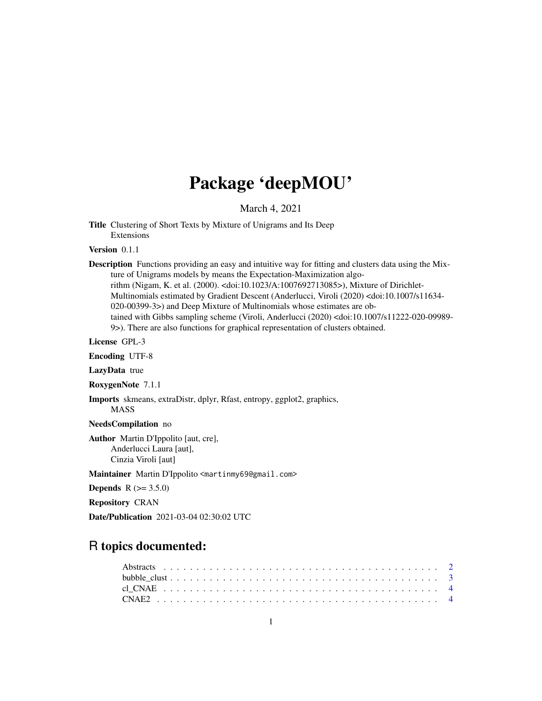# Package 'deepMOU'

March 4, 2021

<span id="page-0-0"></span>Title Clustering of Short Texts by Mixture of Unigrams and Its Deep Extensions

Version 0.1.1

Description Functions providing an easy and intuitive way for fitting and clusters data using the Mixture of Unigrams models by means the Expectation-Maximization algorithm (Nigam, K. et al. (2000). <doi:10.1023/A:1007692713085>), Mixture of Dirichlet-Multinomials estimated by Gradient Descent (Anderlucci, Viroli (2020) <doi:10.1007/s11634- 020-00399-3>) and Deep Mixture of Multinomials whose estimates are obtained with Gibbs sampling scheme (Viroli, Anderlucci (2020) <doi:10.1007/s11222-020-09989- 9>). There are also functions for graphical representation of clusters obtained.

License GPL-3

Encoding UTF-8

LazyData true

RoxygenNote 7.1.1

Imports skmeans, extraDistr, dplyr, Rfast, entropy, ggplot2, graphics, MASS

NeedsCompilation no

Author Martin D'Ippolito [aut, cre], Anderlucci Laura [aut], Cinzia Viroli [aut]

Maintainer Martin D'Ippolito <martinmy69@gmail.com>

**Depends**  $R (= 3.5.0)$ 

Repository CRAN

Date/Publication 2021-03-04 02:30:02 UTC

# R topics documented: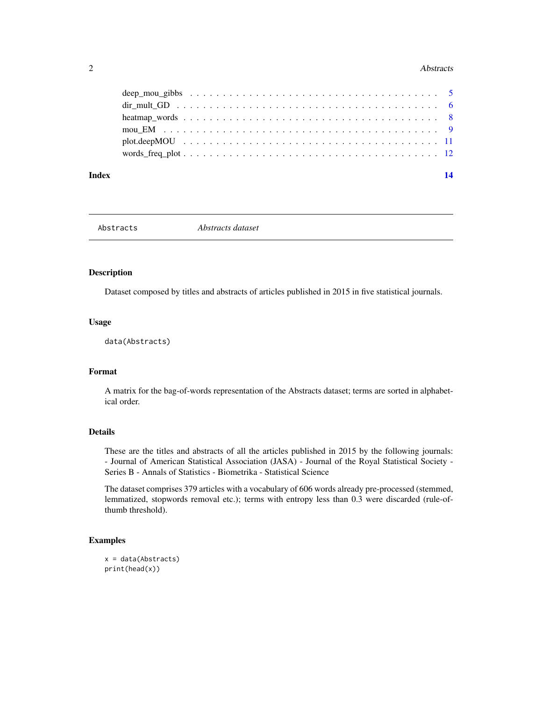#### <span id="page-1-0"></span>2 Abstracts

| Index | 14 |
|-------|----|
|       |    |
|       |    |
|       |    |
|       |    |
|       |    |
|       |    |

Abstracts *Abstracts dataset*

# Description

Dataset composed by titles and abstracts of articles published in 2015 in five statistical journals.

# Usage

data(Abstracts)

# Format

A matrix for the bag-of-words representation of the Abstracts dataset; terms are sorted in alphabetical order.

### Details

These are the titles and abstracts of all the articles published in 2015 by the following journals: - Journal of American Statistical Association (JASA) - Journal of the Royal Statistical Society - Series B - Annals of Statistics - Biometrika - Statistical Science

The dataset comprises 379 articles with a vocabulary of 606 words already pre-processed (stemmed, lemmatized, stopwords removal etc.); terms with entropy less than 0.3 were discarded (rule-ofthumb threshold).

# Examples

```
x = data(Abstracts)
print(head(x))
```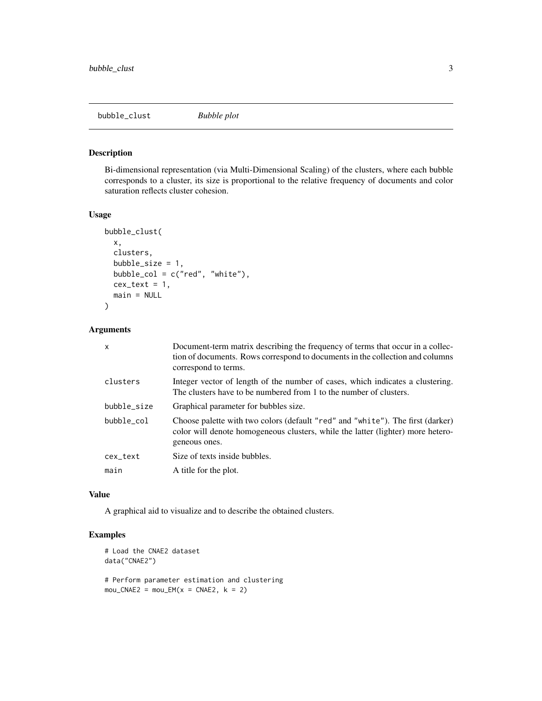<span id="page-2-0"></span>bubble\_clust *Bubble plot*

# Description

Bi-dimensional representation (via Multi-Dimensional Scaling) of the clusters, where each bubble corresponds to a cluster, its size is proportional to the relative frequency of documents and color saturation reflects cluster cohesion.

#### Usage

```
bubble_clust(
  x,
  clusters,
 bubble_size = 1,
 bubble_col = c("red", "white"),
  cex\_text = 1,
 main = NULL
)
```
#### Arguments

| $\mathsf{x}$ | Document-term matrix describing the frequency of terms that occur in a collec-<br>tion of documents. Rows correspond to documents in the collection and columns<br>correspond to terms. |
|--------------|-----------------------------------------------------------------------------------------------------------------------------------------------------------------------------------------|
| clusters     | Integer vector of length of the number of cases, which indicates a clustering.<br>The clusters have to be numbered from 1 to the number of clusters.                                    |
| bubble_size  | Graphical parameter for bubbles size.                                                                                                                                                   |
| bubble col   | Choose palette with two colors (default "red" and "white"). The first (darker)<br>color will denote homogeneous clusters, while the latter (lighter) more hetero-<br>geneous ones.      |
| cex_text     | Size of texts inside bubbles.                                                                                                                                                           |
| main         | A title for the plot.                                                                                                                                                                   |

#### Value

A graphical aid to visualize and to describe the obtained clusters.

# Examples

```
# Load the CNAE2 dataset
data("CNAE2")
# Perform parameter estimation and clustering
mou_CNAE2 = mou_EM(x = CNAE2, k = 2)
```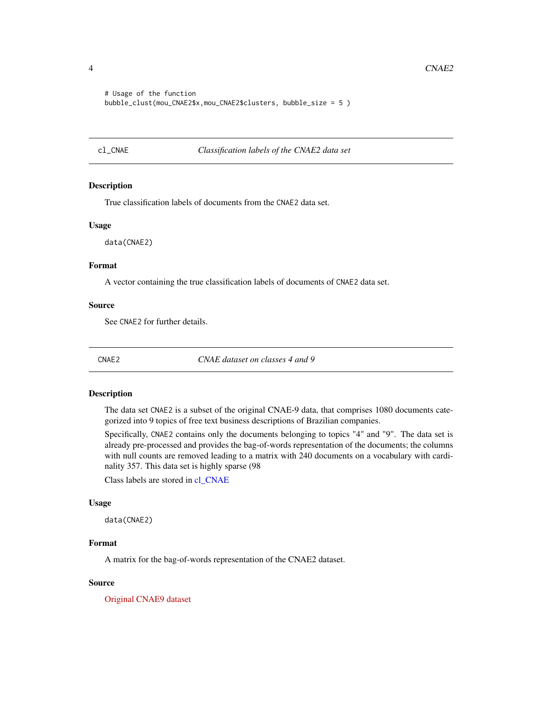```
# Usage of the function
bubble_clust(mou_CNAE2$x,mou_CNAE2$clusters, bubble_size = 5 )
```
<span id="page-3-1"></span>cl\_CNAE *Classification labels of the CNAE2 data set*

#### Description

True classification labels of documents from the CNAE2 data set.

#### Usage

data(CNAE2)

# Format

A vector containing the true classification labels of documents of CNAE2 data set.

#### Source

See CNAE2 for further details.

CNAE2 *CNAE dataset on classes 4 and 9*

# Description

The data set CNAE2 is a subset of the original CNAE-9 data, that comprises 1080 documents categorized into 9 topics of free text business descriptions of Brazilian companies.

Specifically, CNAE2 contains only the documents belonging to topics "4" and "9". The data set is already pre-processed and provides the bag-of-words representation of the documents; the columns with null counts are removed leading to a matrix with 240 documents on a vocabulary with cardinality 357. This data set is highly sparse (98

Class labels are stored in [cl\\_CNAE](#page-3-1)

#### Usage

data(CNAE2)

# Format

A matrix for the bag-of-words representation of the CNAE2 dataset.

#### Source

[Original CNAE9 dataset](https://archive.ics.uci.edu/ml/datasets/CNAE-9)

<span id="page-3-0"></span>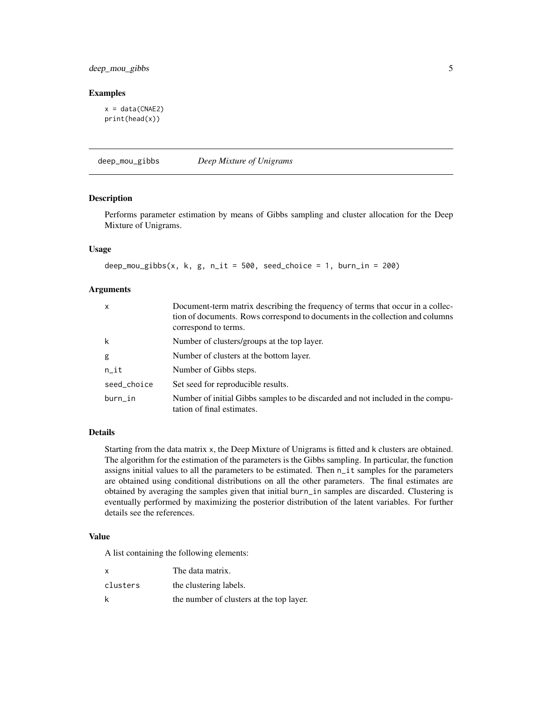# <span id="page-4-0"></span>deep\_mou\_gibbs 5

#### Examples

```
x = data(CNAE2)print(head(x))
```
deep\_mou\_gibbs *Deep Mixture of Unigrams*

#### Description

Performs parameter estimation by means of Gibbs sampling and cluster allocation for the Deep Mixture of Unigrams.

#### Usage

deep\_mou\_gibbs(x, k, g, n\_it = 500, seed\_choice = 1, burn\_in = 200)

#### Arguments

| x           | Document-term matrix describing the frequency of terms that occur in a collec-<br>tion of documents. Rows correspond to documents in the collection and columns<br>correspond to terms. |
|-------------|-----------------------------------------------------------------------------------------------------------------------------------------------------------------------------------------|
| k           | Number of clusters/groups at the top layer.                                                                                                                                             |
| g           | Number of clusters at the bottom layer.                                                                                                                                                 |
| n_it        | Number of Gibbs steps.                                                                                                                                                                  |
| seed_choice | Set seed for reproducible results.                                                                                                                                                      |
| burn_in     | Number of initial Gibbs samples to be discarded and not included in the compu-<br>tation of final estimates.                                                                            |

### Details

Starting from the data matrix x, the Deep Mixture of Unigrams is fitted and k clusters are obtained. The algorithm for the estimation of the parameters is the Gibbs sampling. In particular, the function assigns initial values to all the parameters to be estimated. Then n\_it samples for the parameters are obtained using conditional distributions on all the other parameters. The final estimates are obtained by averaging the samples given that initial burn\_in samples are discarded. Clustering is eventually performed by maximizing the posterior distribution of the latent variables. For further details see the references.

#### Value

A list containing the following elements:

| $\mathsf{x}$ | The data matrix.                         |
|--------------|------------------------------------------|
| clusters     | the clustering labels.                   |
| k            | the number of clusters at the top layer. |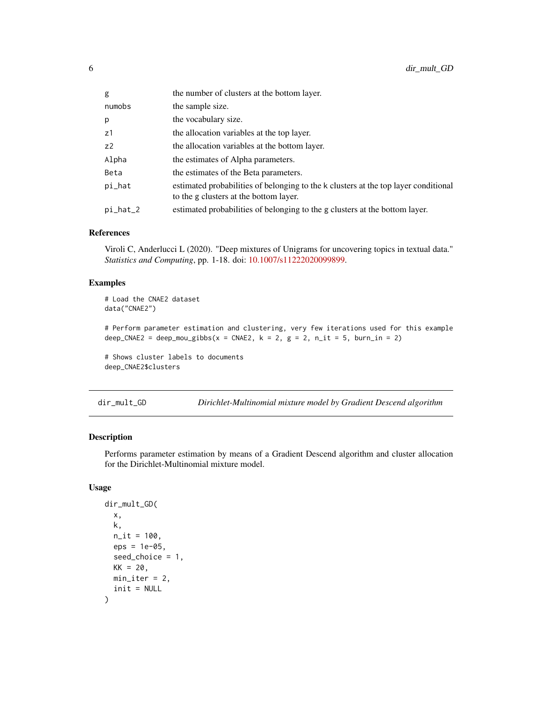<span id="page-5-0"></span>

| g              | the number of clusters at the bottom layer.                                                                                   |
|----------------|-------------------------------------------------------------------------------------------------------------------------------|
| numobs         | the sample size.                                                                                                              |
| p              | the vocabulary size.                                                                                                          |
| z1             | the allocation variables at the top layer.                                                                                    |
| Z <sub>2</sub> | the allocation variables at the bottom layer.                                                                                 |
| Alpha          | the estimates of Alpha parameters.                                                                                            |
| Beta           | the estimates of the Beta parameters.                                                                                         |
| pi_hat         | estimated probabilities of belonging to the k clusters at the top layer conditional<br>to the g clusters at the bottom layer. |
| pi_hat_2       | estimated probabilities of belonging to the g clusters at the bottom layer.                                                   |

#### References

Viroli C, Anderlucci L (2020). "Deep mixtures of Unigrams for uncovering topics in textual data." *Statistics and Computing*, pp. 1-18. doi: [10.1007/s11222020099899.](https://doi.org/10.1007/s11222-020-09989-9)

# Examples

```
# Load the CNAE2 dataset
data("CNAE2")
# Perform parameter estimation and clustering, very few iterations used for this example
deep_CNAE2 = deep_mou_gibbs(x = CNAE2, k = 2, g = 2, n_it = 5, burn_in = 2)
# Shows cluster labels to documents
deep_CNAE2$clusters
```
dir\_mult\_GD *Dirichlet-Multinomial mixture model by Gradient Descend algorithm*

# Description

Performs parameter estimation by means of a Gradient Descend algorithm and cluster allocation for the Dirichlet-Multinomial mixture model.

# Usage

```
dir_mult_GD(
 x,
 k,
 n_{i} = 100,
 eps = 1e-05,
 seed_choice = 1,
 KK = 20,
 min\_iter = 2,
  init = NULL
)
```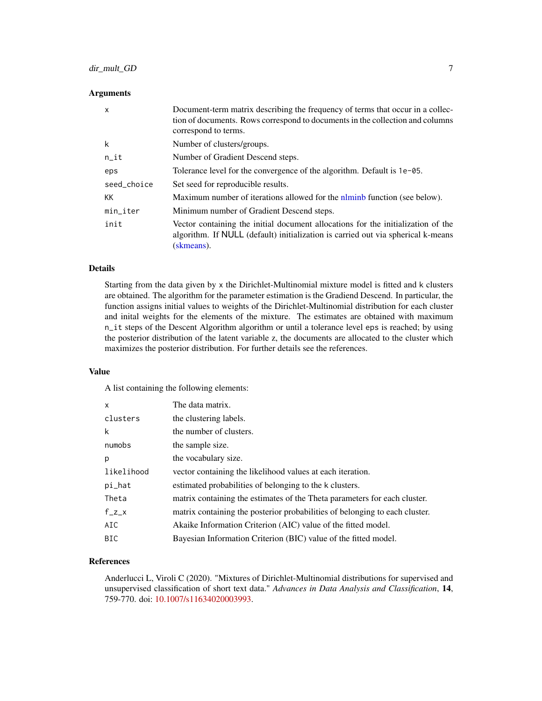# <span id="page-6-0"></span>dir\_mult\_GD 7

#### **Arguments**

| $\mathsf{x}$ | Document-term matrix describing the frequency of terms that occur in a collec-<br>tion of documents. Rows correspond to documents in the collection and columns<br>correspond to terms. |
|--------------|-----------------------------------------------------------------------------------------------------------------------------------------------------------------------------------------|
| k            | Number of clusters/groups.                                                                                                                                                              |
| $n$ _it      | Number of Gradient Descend steps.                                                                                                                                                       |
| eps          | Tolerance level for the convergence of the algorithm. Default is 1e-05.                                                                                                                 |
| seed_choice  | Set seed for reproducible results.                                                                                                                                                      |
| KK           | Maximum number of iterations allowed for the niminb function (see below).                                                                                                               |
| min_iter     | Minimum number of Gradient Descend steps.                                                                                                                                               |
| init         | Vector containing the initial document allocations for the initialization of the<br>algorithm. If NULL (default) initialization is carried out via spherical k-means<br>(skmeans).      |

# Details

Starting from the data given by x the Dirichlet-Multinomial mixture model is fitted and k clusters are obtained. The algorithm for the parameter estimation is the Gradiend Descend. In particular, the function assigns initial values to weights of the Dirichlet-Multinomial distribution for each cluster and inital weights for the elements of the mixture. The estimates are obtained with maximum n\_it steps of the Descent Algorithm algorithm or until a tolerance level eps is reached; by using the posterior distribution of the latent variable z, the documents are allocated to the cluster which maximizes the posterior distribution. For further details see the references.

#### Value

A list containing the following elements:

| $\mathsf{x}$ | The data matrix.                                                            |
|--------------|-----------------------------------------------------------------------------|
| clusters     | the clustering labels.                                                      |
| k            | the number of clusters.                                                     |
| numobs       | the sample size.                                                            |
| р            | the vocabulary size.                                                        |
| likelihood   | vector containing the likelihood values at each iteration.                  |
| pi_hat       | estimated probabilities of belonging to the k clusters.                     |
| Theta        | matrix containing the estimates of the Theta parameters for each cluster.   |
| $f_{Z}$      | matrix containing the posterior probabilities of belonging to each cluster. |
| AIC          | Akaike Information Criterion (AIC) value of the fitted model.               |
| <b>BIC</b>   | Bayesian Information Criterion (BIC) value of the fitted model.             |

# References

Anderlucci L, Viroli C (2020). "Mixtures of Dirichlet-Multinomial distributions for supervised and unsupervised classification of short text data." *Advances in Data Analysis and Classification*, 14, 759-770. doi: [10.1007/s11634020003993.](https://doi.org/10.1007/s11634-020-00399-3)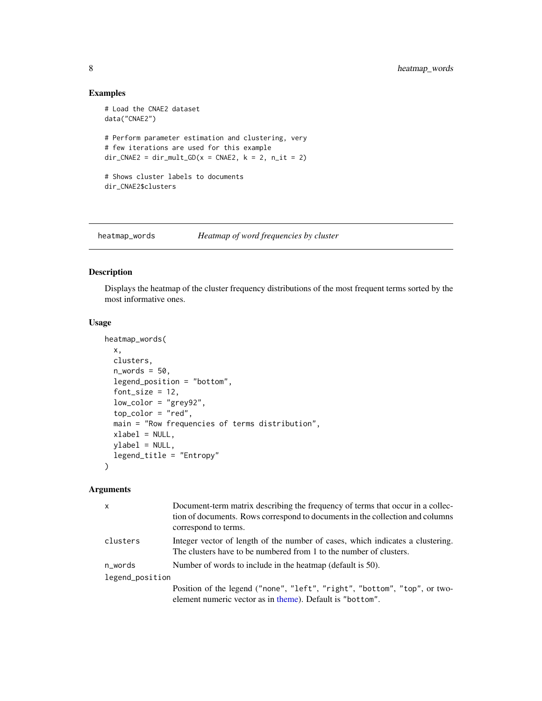# Examples

```
# Load the CNAE2 dataset
data("CNAE2")
# Perform parameter estimation and clustering, very
# few iterations are used for this example
dir_CNAE2 = dir_mult_GD(x = CNAE2, k = 2, n_it = 2)# Shows cluster labels to documents
dir_CNAE2$clusters
```
heatmap\_words *Heatmap of word frequencies by cluster*

# Description

Displays the heatmap of the cluster frequency distributions of the most frequent terms sorted by the most informative ones.

### Usage

```
heatmap_words(
  x,
 clusters,
  n_words = 50,
  legend_position = "bottom",
  font_size = 12,
  low_color = "grey92",
  top_color = "red",
  main = "Row frequencies of terms distribution",
  xlabel = NULL,ylabel = NULL,
  legend_title = "Entropy"
\mathcal{L}
```
#### Arguments

| x               | Document-term matrix describing the frequency of terms that occur in a collec-<br>tion of documents. Rows correspond to documents in the collection and columns<br>correspond to terms. |
|-----------------|-----------------------------------------------------------------------------------------------------------------------------------------------------------------------------------------|
| clusters        | Integer vector of length of the number of cases, which indicates a clustering.<br>The clusters have to be numbered from 1 to the number of clusters.                                    |
| n words         | Number of words to include in the heatmap (default is 50).                                                                                                                              |
| legend_position |                                                                                                                                                                                         |
|                 | Position of the legend ("none", "left", "right", "bottom", "top", or two-<br>element numeric vector as in theme). Default is "bottom".                                                  |

<span id="page-7-0"></span>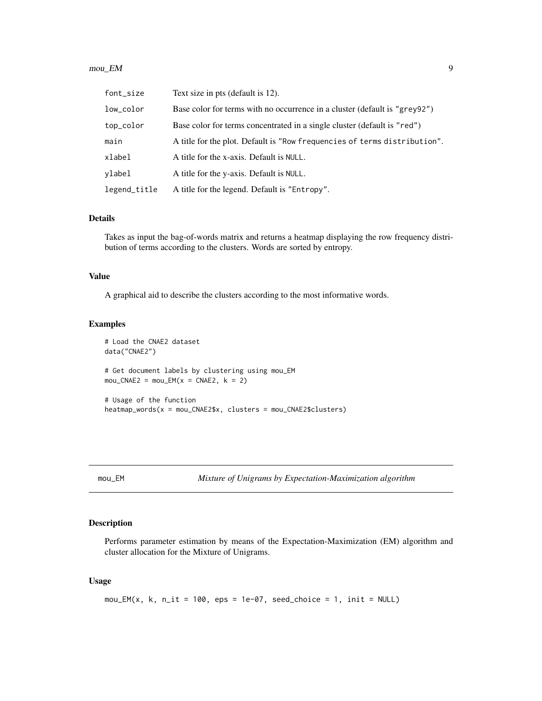#### <span id="page-8-0"></span> $mou\_EM$  9

| font_size    | Text size in pts (default is 12).                                          |
|--------------|----------------------------------------------------------------------------|
| low_color    | Base color for terms with no occurrence in a cluster (default is "grey92") |
| top_color    | Base color for terms concentrated in a single cluster (default is "red")   |
| main         | A title for the plot. Default is "Row frequencies of terms distribution".  |
| xlabel       | A title for the x-axis. Default is NULL.                                   |
| ylabel       | A title for the y-axis. Default is NULL.                                   |
| legend_title | A title for the legend. Default is "Entropy".                              |

#### Details

Takes as input the bag-of-words matrix and returns a heatmap displaying the row frequency distribution of terms according to the clusters. Words are sorted by entropy.

#### Value

A graphical aid to describe the clusters according to the most informative words.

## Examples

```
# Load the CNAE2 dataset
data("CNAE2")
# Get document labels by clustering using mou_EM
mou_CNAE2 = mou_EM(x = CNAE2, k = 2)# Usage of the function
heatmap_words(x = mou_CNAE2$x, clusters = mou_CNAE2$clusters)
```
mou\_EM *Mixture of Unigrams by Expectation-Maximization algorithm*

#### Description

Performs parameter estimation by means of the Expectation-Maximization (EM) algorithm and cluster allocation for the Mixture of Unigrams.

#### Usage

```
mou\_EM(x, k, n_1it = 100,eps = 1e-07, seed\_choice = 1, init = NULL)
```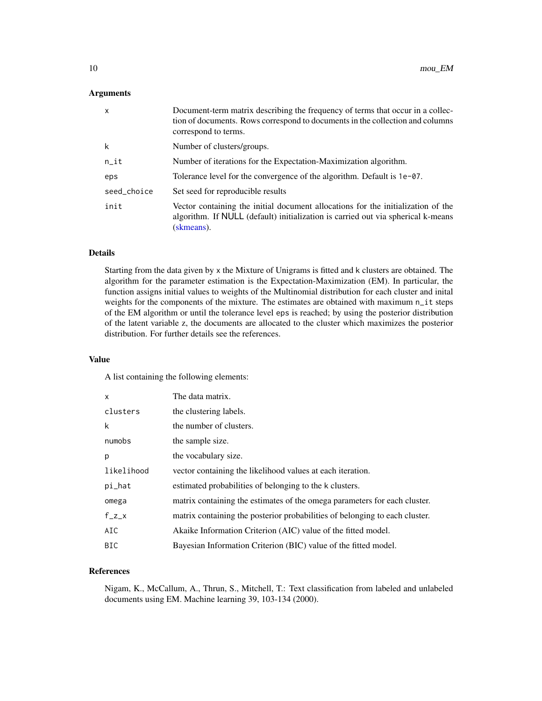# <span id="page-9-0"></span>Arguments

| $\mathsf{x}$ | Document-term matrix describing the frequency of terms that occur in a collec-<br>tion of documents. Rows correspond to documents in the collection and columns<br>correspond to terms. |
|--------------|-----------------------------------------------------------------------------------------------------------------------------------------------------------------------------------------|
| k            | Number of clusters/groups.                                                                                                                                                              |
| $n$ _it      | Number of iterations for the Expectation-Maximization algorithm.                                                                                                                        |
| eps          | Tolerance level for the convergence of the algorithm. Default is 1e-07.                                                                                                                 |
| seed_choice  | Set seed for reproducible results                                                                                                                                                       |
| init         | Vector containing the initial document allocations for the initialization of the<br>algorithm. If NULL (default) initialization is carried out via spherical k-means<br>(skmeans).      |

# Details

Starting from the data given by x the Mixture of Unigrams is fitted and k clusters are obtained. The algorithm for the parameter estimation is the Expectation-Maximization (EM). In particular, the function assigns initial values to weights of the Multinomial distribution for each cluster and inital weights for the components of the mixture. The estimates are obtained with maximum n\_it steps of the EM algorithm or until the tolerance level eps is reached; by using the posterior distribution of the latent variable z, the documents are allocated to the cluster which maximizes the posterior distribution. For further details see the references.

#### Value

A list containing the following elements:

| X          | The data matrix.                                                            |
|------------|-----------------------------------------------------------------------------|
| clusters   | the clustering labels.                                                      |
| k          | the number of clusters.                                                     |
| numobs     | the sample size.                                                            |
| p          | the vocabulary size.                                                        |
| likelihood | vector containing the likelihood values at each iteration.                  |
| pi_hat     | estimated probabilities of belonging to the k clusters.                     |
| omega      | matrix containing the estimates of the omega parameters for each cluster.   |
| $f_{Z}$    | matrix containing the posterior probabilities of belonging to each cluster. |
| AIC        | Akaike Information Criterion (AIC) value of the fitted model.               |
| <b>BIC</b> | Bayesian Information Criterion (BIC) value of the fitted model.             |

# References

Nigam, K., McCallum, A., Thrun, S., Mitchell, T.: Text classification from labeled and unlabeled documents using EM. Machine learning 39, 103-134 (2000).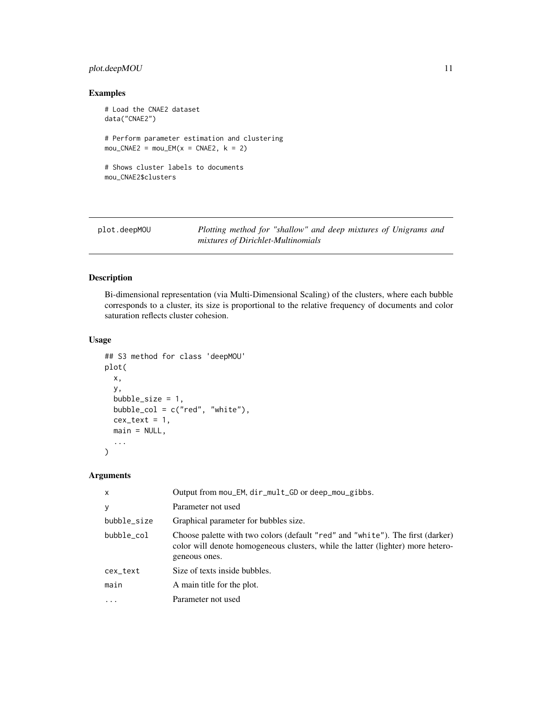# <span id="page-10-0"></span>plot.deepMOU 11

# Examples

```
# Load the CNAE2 dataset
data("CNAE2")
# Perform parameter estimation and clustering
mou_CNAE2 = mou_EM(x = CNAE2, k = 2)# Shows cluster labels to documents
mou_CNAE2$clusters
```
plot.deepMOU *Plotting method for "shallow" and deep mixtures of Unigrams and mixtures of Dirichlet-Multinomials*

# Description

Bi-dimensional representation (via Multi-Dimensional Scaling) of the clusters, where each bubble corresponds to a cluster, its size is proportional to the relative frequency of documents and color saturation reflects cluster cohesion.

#### Usage

```
## S3 method for class 'deepMOU'
plot(
  x,
  y,
  bubble_size = 1,
  bubble_col = c("red", "white"),
  cex\_text = 1,
  main = NULL,...
\mathcal{E}
```
#### Arguments

| x           | Output from mou_EM, dir_mult_GD or deep_mou_gibbs.                                                                                                                                 |
|-------------|------------------------------------------------------------------------------------------------------------------------------------------------------------------------------------|
| y           | Parameter not used                                                                                                                                                                 |
| bubble_size | Graphical parameter for bubbles size.                                                                                                                                              |
| bubble_col  | Choose palette with two colors (default "red" and "white"). The first (darker)<br>color will denote homogeneous clusters, while the latter (lighter) more hetero-<br>geneous ones. |
| cex_text    | Size of texts inside bubbles.                                                                                                                                                      |
| main        | A main title for the plot.                                                                                                                                                         |
| $\cdot$     | Parameter not used                                                                                                                                                                 |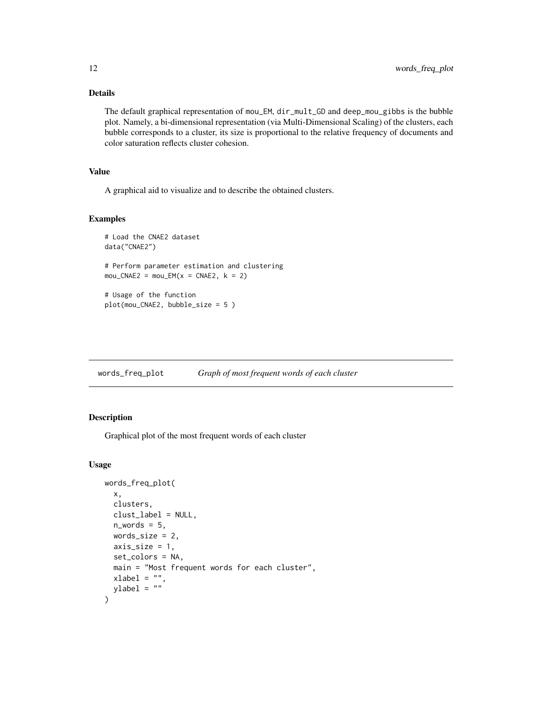# Details

The default graphical representation of mou\_EM, dir\_mult\_GD and deep\_mou\_gibbs is the bubble plot. Namely, a bi-dimensional representation (via Multi-Dimensional Scaling) of the clusters, each bubble corresponds to a cluster, its size is proportional to the relative frequency of documents and color saturation reflects cluster cohesion.

# Value

A graphical aid to visualize and to describe the obtained clusters.

# Examples

```
# Load the CNAE2 dataset
data("CNAE2")
# Perform parameter estimation and clustering
mou_CNAE2 = mou_EM(x = CNAE2, k = 2)# Usage of the function
plot(mou_CNAE2, bubble_size = 5 )
```
words\_freq\_plot *Graph of most frequent words of each cluster*

# Description

Graphical plot of the most frequent words of each cluster

#### Usage

```
words_freq_plot(
  x,
  clusters,
  clust_label = NULL,
  n_words = 5,
  words_size = 2,
  axis_size = 1,
  set_colors = NA,
  main = "Most frequent words for each cluster",
 xlabel = "ylabel = <math>""</math>)
```
<span id="page-11-0"></span>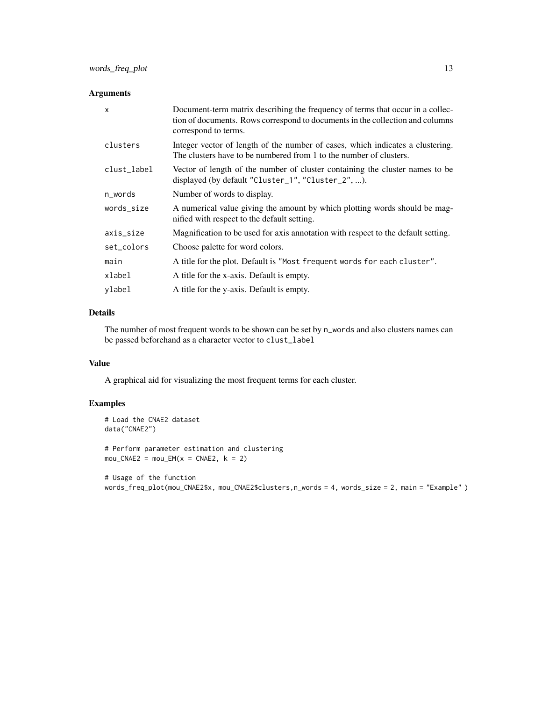#### Arguments

| $\mathsf{x}$ | Document-term matrix describing the frequency of terms that occur in a collec-<br>tion of documents. Rows correspond to documents in the collection and columns<br>correspond to terms. |
|--------------|-----------------------------------------------------------------------------------------------------------------------------------------------------------------------------------------|
| clusters     | Integer vector of length of the number of cases, which indicates a clustering.<br>The clusters have to be numbered from 1 to the number of clusters.                                    |
| clust_label  | Vector of length of the number of cluster containing the cluster names to be<br>displayed (by default "Cluster_1", "Cluster_2", ).                                                      |
| n_words      | Number of words to display.                                                                                                                                                             |
| words_size   | A numerical value giving the amount by which plotting words should be mag-<br>nified with respect to the default setting.                                                               |
| axis_size    | Magnification to be used for axis annotation with respect to the default setting.                                                                                                       |
| set_colors   | Choose palette for word colors.                                                                                                                                                         |
| main         | A title for the plot. Default is "Most frequent words for each cluster".                                                                                                                |
| xlabel       | A title for the x-axis. Default is empty.                                                                                                                                               |
| vlabel       | A title for the y-axis. Default is empty.                                                                                                                                               |

# Details

The number of most frequent words to be shown can be set by n\_words and also clusters names can be passed beforehand as a character vector to clust\_label

# Value

A graphical aid for visualizing the most frequent terms for each cluster.

# Examples

```
# Load the CNAE2 dataset
data("CNAE2")
# Perform parameter estimation and clustering
mou_CNAE2 = mou_EM(x = CNAE2, k = 2)# Usage of the function
```
words\_freq\_plot(mou\_CNAE2\$x, mou\_CNAE2\$clusters,n\_words = 4, words\_size = 2, main = "Example" )